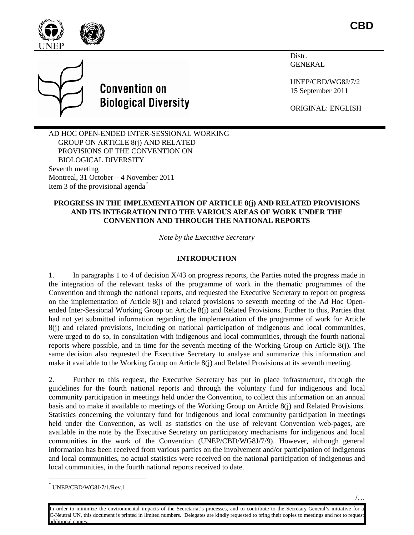

**CBD**





Distr. GENERAL

UNEP/CBD/WG8J/7/2 15 September 2011

ORIGINAL: ENGLISH

AD HOC OPEN-ENDED INTER-SESSIONAL WORKING GROUP ON ARTICLE 8(j) AND RELATED PROVISIONS OF THE CONVENTION ON BIOLOGICAL DIVERSITY Seventh meeting Montreal, 31 October – 4 November 2011 Item 3 of the provisional agenda[\\*](#page-0-0)

### **PROGRESS IN THE IMPLEMENTATION OF ARTICLE 8(j) AND RELATED PROVISIONS AND ITS INTEGRATION INTO THE VARIOUS AREAS OF WORK UNDER THE CONVENTION AND THROUGH THE NATIONAL REPORTS**

*Note by the Executive Secretary*

### **INTRODUCTION**

1. In paragraphs 1 to 4 of decision X/43 on progress reports, the Parties noted the progress made in the integration of the relevant tasks of the programme of work in the thematic programmes of the Convention and through the national reports, and requested the Executive Secretary to report on progress on the implementation of Article  $8(i)$  and related provisions to seventh meeting of the Ad Hoc Openended Inter-Sessional Working Group on Article 8(j) and Related Provisions. Further to this, Parties that had not yet submitted information regarding the implementation of the programme of work for Article 8(j) and related provisions, including on national participation of indigenous and local communities, were urged to do so, in consultation with indigenous and local communities, through the fourth national reports where possible, and in time for the seventh meeting of the Working Group on Article 8(j). The same decision also requested the Executive Secretary to analyse and summarize this information and make it available to the Working Group on Article 8(j) and Related Provisions at its seventh meeting.

2. Further to this request, the Executive Secretary has put in place infrastructure, through the guidelines for the fourth national reports and through the voluntary fund for indigenous and local community participation in meetings held under the Convention, to collect this information on an annual basis and to make it available to meetings of the Working Group on Article 8(j) and Related Provisions. Statistics concerning the voluntary fund for indigenous and local community participation in meetings held under the Convention, as well as statistics on the use of relevant Convention web-pages, are available in the note by the Executive Secretary on participatory mechanisms for indigenous and local communities in the work of the Convention (UNEP/CBD/WG8J/7/9). However, although general information has been received from various parties on the involvement and/or participation of indigenous and local communities, no actual statistics were received on the national participation of indigenous and local communities, in the fourth national reports received to date.

<span id="page-0-0"></span>UNEP/CBD/WG8J/7/1/Rev.1.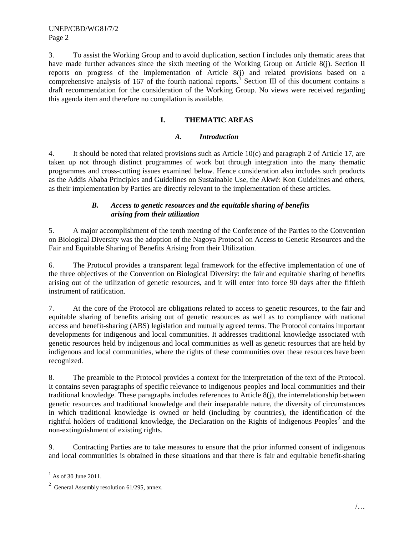3. To assist the Working Group and to avoid duplication, section I includes only thematic areas that have made further advances since the sixth meeting of the Working Group on Article 8(j). Section II reports on progress of the implementation of Article 8(j) and related provisions based on a comprehensive analysis of [1](#page-1-0)67 of the fourth national reports.<sup>1</sup> Section III of this document contains a draft recommendation for the consideration of the Working Group. No views were received regarding this agenda item and therefore no compilation is available.

# **I. THEMATIC AREAS**

### *A. Introduction*

4. It should be noted that related provisions such as Article 10(c) and paragraph 2 of Article 17, are taken up not through distinct programmes of work but through integration into the many thematic programmes and cross-cutting issues examined below. Hence consideration also includes such products as the Addis Ababa Principles and Guidelines on Sustainable Use, the Akwé: Kon Guidelines and others, as their implementation by Parties are directly relevant to the implementation of these articles.

# *B. Access to genetic resources and the equitable sharing of benefits arising from their utilization*

5. A major accomplishment of the tenth meeting of the Conference of the Parties to the Convention on Biological Diversity was the adoption of the Nagoya Protocol on Access to Genetic Resources and the Fair and Equitable Sharing of Benefits Arising from their Utilization.

6. The Protocol provides a transparent legal framework for the effective implementation of one of the three objectives of the Convention on Biological Diversity: the fair and equitable sharing of benefits arising out of the utilization of genetic resources, and it will enter into force 90 days after the fiftieth instrument of ratification.

7. At the core of the Protocol are obligations related to access to genetic resources, to the fair and equitable sharing of benefits arising out of genetic resources as well as to compliance with national access and benefit-sharing (ABS) legislation and mutually agreed terms. The Protocol contains important developments for indigenous and local communities. It addresses traditional knowledge associated with genetic resources held by indigenous and local communities as well as genetic resources that are held by indigenous and local communities, where the rights of these communities over these resources have been recognized.

8. The preamble to the Protocol provides a context for the interpretation of the text of the Protocol. It contains seven paragraphs of specific relevance to indigenous peoples and local communities and their traditional knowledge. These paragraphs includes references to Article 8(j), the interrelationship between genetic resources and traditional knowledge and their inseparable nature, the diversity of circumstances in which traditional knowledge is owned or held (including by countries), the identification of the rightful holders of traditional knowledge, the Declaration on the Rights of Indigenous Peoples<sup>[2](#page-1-1)</sup> and the non-extinguishment of existing rights.

9. Contracting Parties are to take measures to ensure that the prior informed consent of indigenous and local communities is obtained in these situations and that there is fair and equitable benefit-sharing

<span id="page-1-0"></span> $<sup>1</sup>$  As of 30 June 2011.</sup>

<span id="page-1-1"></span> $2^2$  General Assembly resolution 61/295, annex.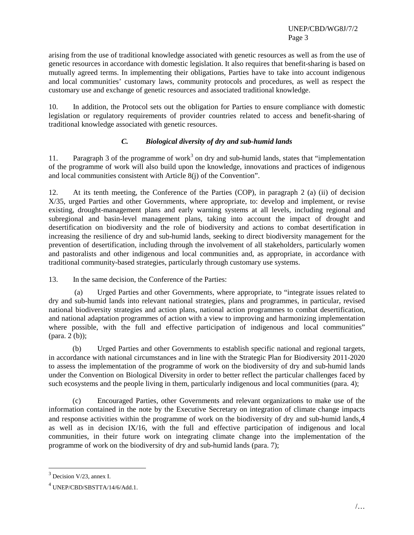arising from the use of traditional knowledge associated with genetic resources as well as from the use of genetic resources in accordance with domestic legislation. It also requires that benefit-sharing is based on mutually agreed terms. In implementing their obligations, Parties have to take into account indigenous and local communities' customary laws, community protocols and procedures, as well as respect the customary use and exchange of genetic resources and associated traditional knowledge.

10. In addition, the Protocol sets out the obligation for Parties to ensure compliance with domestic legislation or regulatory requirements of provider countries related to access and benefit-sharing of traditional knowledge associated with genetic resources.

# *C. Biological diversity of dry and sub-humid lands*

11. Paragraph [3](#page-2-0) of the programme of work<sup>3</sup> on dry and sub-humid lands, states that "implementation" of the programme of work will also build upon the knowledge, innovations and practices of indigenous and local communities consistent with Article 8(j) of the Convention".

12. At its tenth meeting, the Conference of the Parties (COP), in paragraph 2 (a) (ii) of decision X/35, urged Parties and other Governments, where appropriate, to: develop and implement, or revise existing, drought-management plans and early warning systems at all levels, including regional and subregional and basin-level management plans, taking into account the impact of drought and desertification on biodiversity and the role of biodiversity and actions to combat desertification in increasing the resilience of dry and sub-humid lands, seeking to direct biodiversity management for the prevention of desertification, including through the involvement of all stakeholders, particularly women and pastoralists and other indigenous and local communities and, as appropriate, in accordance with traditional community-based strategies, particularly through customary use systems.

13. In the same decision, the Conference of the Parties:

(a) Urged Parties and other Governments, where appropriate, to "integrate issues related to dry and sub-humid lands into relevant national strategies, plans and programmes, in particular, revised national biodiversity strategies and action plans, national action programmes to combat desertification, and national adaptation programmes of action with a view to improving and harmonizing implementation where possible, with the full and effective participation of indigenous and local communities" (para. 2 (b));

(b) Urged Parties and other Governments to establish specific national and regional targets, in accordance with national circumstances and in line with the Strategic Plan for Biodiversity 2011-2020 to assess the implementation of the programme of work on the biodiversity of dry and sub-humid lands under the Convention on Biological Diversity in order to better reflect the particular challenges faced by such ecosystems and the people living in them, particularly indigenous and local communities (para. 4);

(c) Encouraged Parties, other Governments and relevant organizations to make use of the information contained in the note by the Executive Secretary on integration of climate change impacts and response activities within the programme of work on the biodiversity of dry and sub-humid lands,[4](#page-2-1) as well as in decision IX/16, with the full and effective participation of indigenous and local communities, in their future work on integrating climate change into the implementation of the programme of work on the biodiversity of dry and sub-humid lands (para. 7);

<span id="page-2-0"></span> $3$  Decision V/23, annex I.

<span id="page-2-1"></span><sup>4</sup> UNEP/CBD/SBSTTA/14/6/Add.1.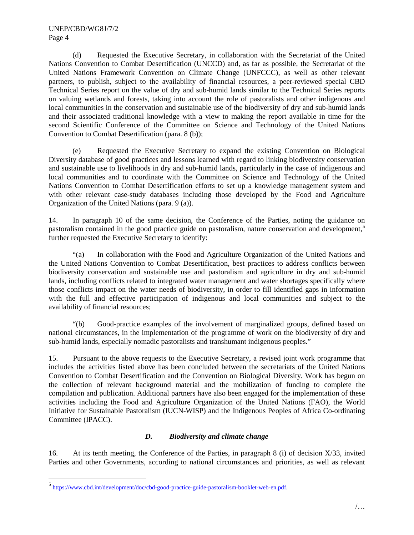(d) Requested the Executive Secretary, in collaboration with the Secretariat of the United Nations Convention to Combat Desertification (UNCCD) and, as far as possible, the Secretariat of the United Nations Framework Convention on Climate Change (UNFCCC), as well as other relevant partners, to publish, subject to the availability of financial resources, a peer-reviewed special CBD Technical Series report on the value of dry and sub-humid lands similar to the Technical Series reports on valuing wetlands and forests, taking into account the role of pastoralists and other indigenous and local communities in the conservation and sustainable use of the biodiversity of dry and sub-humid lands and their associated traditional knowledge with a view to making the report available in time for the second Scientific Conference of the Committee on Science and Technology of the United Nations Convention to Combat Desertification (para. 8 (b));

(e) Requested the Executive Secretary to expand the existing Convention on Biological Diversity database of good practices and lessons learned with regard to linking biodiversity conservation and sustainable use to livelihoods in dry and sub-humid lands, particularly in the case of indigenous and local communities and to coordinate with the Committee on Science and Technology of the United Nations Convention to Combat Desertification efforts to set up a knowledge management system and with other relevant case-study databases including those developed by the Food and Agriculture Organization of the United Nations (para. 9 (a)).

14. In paragraph 10 of the same decision, the Conference of the Parties, noting the guidance on pastoralism contained in the good practice guide on pastoralism, nature conservation and development,<sup>[5](#page-3-0)</sup> further requested the Executive Secretary to identify:

"(a) In collaboration with the Food and Agriculture Organization of the United Nations and the United Nations Convention to Combat Desertification, best practices to address conflicts between biodiversity conservation and sustainable use and pastoralism and agriculture in dry and sub-humid lands, including conflicts related to integrated water management and water shortages specifically where those conflicts impact on the water needs of biodiversity, in order to fill identified gaps in information with the full and effective participation of indigenous and local communities and subject to the availability of financial resources;

"(b) Good-practice examples of the involvement of marginalized groups, defined based on national circumstances, in the implementation of the programme of work on the biodiversity of dry and sub-humid lands, especially nomadic pastoralists and transhumant indigenous peoples."

15. Pursuant to the above requests to the Executive Secretary, a revised joint work programme that includes the activities listed above has been concluded between the secretariats of the United Nations Convention to Combat Desertification and the Convention on Biological Diversity. Work has begun on the collection of relevant background material and the mobilization of funding to complete the compilation and publication. Additional partners have also been engaged for the implementation of these activities including the Food and Agriculture Organization of the United Nations (FAO), the World Initiative for Sustainable Pastoralism (IUCN-WISP) and the Indigenous Peoples of Africa Co-ordinating Committee (IPACC).

# *D. Biodiversity and climate change*

16. At its tenth meeting, the Conference of the Parties, in paragraph 8 (i) of decision X/33, invited Parties and other Governments, according to national circumstances and priorities, as well as relevant

<span id="page-3-0"></span> <sup>5</sup> [https://www.cbd.int/development/doc/cbd-good-practice-guide-pastoralism-booklet-web-en.pdf.](https://www.cbd.int/development/doc/cbd-good-practice-guide-pastoralism-booklet-web-en.pdf)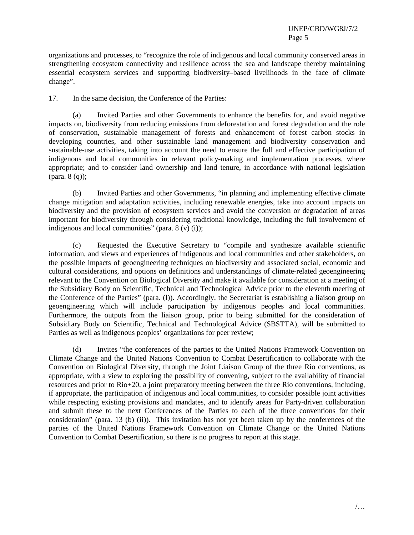organizations and processes, to "recognize the role of indigenous and local community conserved areas in strengthening ecosystem connectivity and resilience across the sea and landscape thereby maintaining essential ecosystem services and supporting biodiversity–based livelihoods in the face of climate change".

17. In the same decision, the Conference of the Parties:

(a) Invited Parties and other Governments to enhance the benefits for, and avoid negative impacts on, biodiversity from reducing emissions from deforestation and forest degradation and the role of conservation, sustainable management of forests and enhancement of forest carbon stocks in developing countries, and other sustainable land management and biodiversity conservation and sustainable-use activities, taking into account the need to ensure the full and effective participation of indigenous and local communities in relevant policy-making and implementation processes, where appropriate; and to consider land ownership and land tenure, in accordance with national legislation (para. 8 (q));

(b) Invited Parties and other Governments, "in planning and implementing effective climate change mitigation and adaptation activities, including renewable energies, take into account impacts on biodiversity and the provision of ecosystem services and avoid the conversion or degradation of areas important for biodiversity through considering traditional knowledge, including the full involvement of indigenous and local communities" (para.  $8 \text{ (v)} \text{ (i)}$ );

(c) Requested the Executive Secretary to "compile and synthesize available scientific information, and views and experiences of indigenous and local communities and other stakeholders, on the possible impacts of geoengineering techniques on biodiversity and associated social, economic and cultural considerations, and options on definitions and understandings of climate-related geoengineering relevant to the Convention on Biological Diversity and make it available for consideration at a meeting of the Subsidiary Body on Scientific, Technical and Technological Advice prior to the eleventh meeting of the Conference of the Parties" (para. (l)). Accordingly, the Secretariat is establishing a liaison group on geoengineering which will include participation by indigenous peoples and local communities. Furthermore, the outputs from the liaison group, prior to being submitted for the consideration of Subsidiary Body on Scientific, Technical and Technological Advice (SBSTTA), will be submitted to Parties as well as indigenous peoples' organizations for peer review;

(d) Invites "the conferences of the parties to the United Nations Framework Convention on Climate Change and the United Nations Convention to Combat Desertification to collaborate with the Convention on Biological Diversity, through the Joint Liaison Group of the three Rio conventions, as appropriate, with a view to exploring the possibility of convening, subject to the availability of financial resources and prior to Rio+20, a joint preparatory meeting between the three Rio conventions, including, if appropriate, the participation of indigenous and local communities, to consider possible joint activities while respecting existing provisions and mandates, and to identify areas for Party-driven collaboration and submit these to the next Conferences of the Parties to each of the three conventions for their consideration" (para. 13 (b) (ii)). This invitation has not yet been taken up by the conferences of the parties of the United Nations Framework Convention on Climate Change or the United Nations Convention to Combat Desertification, so there is no progress to report at this stage.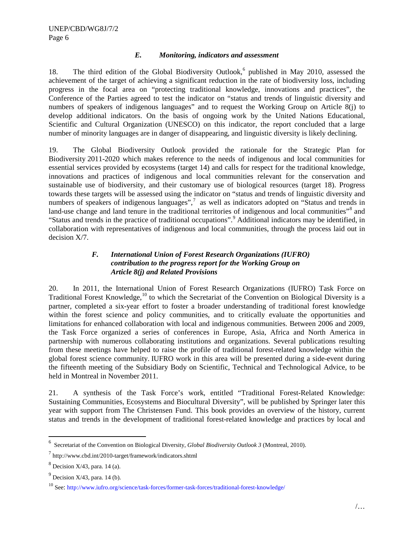### *E. Monitoring, indicators and assessment*

18. The third edition of the Global Biodiversity Outlook,<sup>[6](#page-5-0)</sup> published in May 2010, assessed the achievement of the target of achieving a significant reduction in the rate of biodiversity loss, including progress in the focal area on "protecting traditional knowledge, innovations and practices", the Conference of the Parties agreed to test the indicator on "status and trends of linguistic diversity and numbers of speakers of indigenous languages" and to request the Working Group on Article 8(j) to develop additional indicators. On the basis of ongoing work by the United Nations Educational, Scientific and Cultural Organization (UNESCO) on this indicator, the report concluded that a large number of minority languages are in danger of disappearing, and linguistic diversity is likely declining.

19. The Global Biodiversity Outlook provided the rationale for the Strategic Plan for Biodiversity 2011-2020 which makes reference to the needs of indigenous and local communities for essential services provided by ecosystems (target 14) and calls for respect for the traditional knowledge, innovations and practices of indigenous and local communities relevant for the conservation and sustainable use of biodiversity, and their customary use of biological resources (target 18). Progress towards these targets will be assessed using the indicator on "status and trends of linguistic diversity and numbers of speakers of indigenous languages",<sup>[7](#page-5-1)</sup> as well as indicators adopted on "Status and trends in land-use change and land tenure in the traditional territories of indigenous and local communities"<sup>[8](#page-5-2)</sup> and "Status and trends in the practice of traditional occupations".<sup>[9](#page-5-3)</sup> Additional indicators may be identified, in collaboration with representatives of indigenous and local communities, through the process laid out in decision X/7.

# *F. International Union of Forest Research Organizations (IUFRO) contribution to the progress report for the Working Group on Article 8(j) and Related Provisions*

20. In 2011, the International Union of Forest Research Organizations (IUFRO) Task Force on Traditional Forest Knowledge,<sup>[10](#page-5-4)</sup> to which the Secretariat of the Convention on Biological Diversity is a partner, completed a six-year effort to foster a broader understanding of traditional forest knowledge within the forest science and policy communities, and to critically evaluate the opportunities and limitations for enhanced collaboration with local and indigenous communities. Between 2006 and 2009, the Task Force organized a series of conferences in Europe, Asia, Africa and North America in partnership with numerous collaborating institutions and organizations. Several publications resulting from these meetings have helped to raise the profile of traditional forest-related knowledge within the global forest science community. IUFRO work in this area will be presented during a side-event during the fifteenth meeting of the Subsidiary Body on Scientific, Technical and Technological Advice, to be held in Montreal in November 2011.

21. A synthesis of the Task Force's work, entitled "Traditional Forest-Related Knowledge: Sustaining Communities, Ecosystems and Biocultural Diversity", will be published by Springer later this year with support from The Christensen Fund. This book provides an overview of the history, current status and trends in the development of traditional forest-related knowledge and practices by local and

<span id="page-5-0"></span> <sup>6</sup> Secretariat of the Convention on Biological Diversity, *Global Biodiversity Outlook 3* (Montreal, 2010).

<span id="page-5-1"></span><sup>7</sup> http://www.cbd.int/2010-target/framework/indicators.shtml

<span id="page-5-2"></span> $8$  Decision X/43, para. 14 (a).

<span id="page-5-3"></span> $9$  Decision X/43, para. 14 (b).

<span id="page-5-4"></span><sup>10</sup> See:<http://www.iufro.org/science/task-forces/former-task-forces/traditional-forest-knowledge/>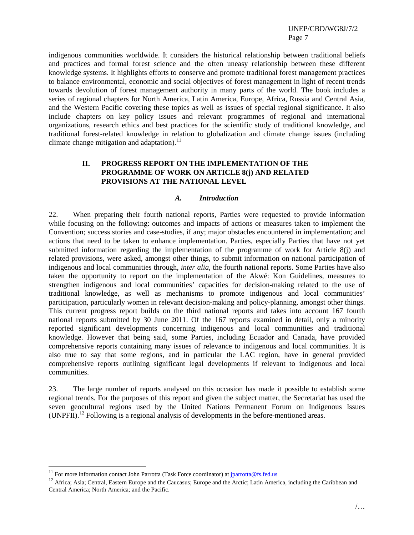indigenous communities worldwide. It considers the historical relationship between traditional beliefs and practices and formal forest science and the often uneasy relationship between these different knowledge systems. It highlights efforts to conserve and promote traditional forest management practices to balance environmental, economic and social objectives of forest management in light of recent trends towards devolution of forest management authority in many parts of the world. The book includes a series of regional chapters for North America, Latin America, Europe, Africa, Russia and Central Asia, and the Western Pacific covering these topics as well as issues of special regional significance. It also include chapters on key policy issues and relevant programmes of regional and international organizations, research ethics and best practices for the scientific study of traditional knowledge, and traditional forest-related knowledge in relation to globalization and climate change issues (including climate change mitigation and adaptation). $^{11}$  $^{11}$  $^{11}$ 

# **II. PROGRESS REPORT ON THE IMPLEMENTATION OF THE PROGRAMME OF WORK ON ARTICLE 8(j) AND RELATED PROVISIONS AT THE NATIONAL LEVEL**

#### *A. Introduction*

22. When preparing their fourth national reports, Parties were requested to provide information while focusing on the following: outcomes and impacts of actions or measures taken to implement the Convention; success stories and case-studies, if any; major obstacles encountered in implementation; and actions that need to be taken to enhance implementation. Parties, especially Parties that have not yet submitted information regarding the implementation of the programme of work for Article 8(j) and related provisions, were asked, amongst other things, to submit information on national participation of indigenous and local communities through, *inter alia*, the fourth national reports. Some Parties have also taken the opportunity to report on the implementation of the Akwé: Kon Guidelines, measures to strengthen indigenous and local communities' capacities for decision-making related to the use of traditional knowledge, as well as mechanisms to promote indigenous and local communities' participation, particularly women in relevant decision-making and policy-planning, amongst other things. This current progress report builds on the third national reports and takes into account 167 fourth national reports submitted by 30 June 2011. Of the 167 reports examined in detail, only a minority reported significant developments concerning indigenous and local communities and traditional knowledge. However that being said, some Parties, including Ecuador and Canada, have provided comprehensive reports containing many issues of relevance to indigenous and local communities. It is also true to say that some regions, and in particular the LAC region, have in general provided comprehensive reports outlining significant legal developments if relevant to indigenous and local communities.

23. The large number of reports analysed on this occasion has made it possible to establish some regional trends. For the purposes of this report and given the subject matter, the Secretariat has used the seven geocultural regions used by the United Nations Permanent Forum on Indigenous Issues  $(UNPFII).<sup>12</sup>$  $(UNPFII).<sup>12</sup>$  $(UNPFII).<sup>12</sup>$  Following is a regional analysis of developments in the before-mentioned areas.

<sup>&</sup>lt;sup>11</sup> For more information contact John Parrotta (Task Force coordinator) at [jparrotta@fs.fed.us](mailto:jparrotta@fs.fed.us)

<span id="page-6-1"></span><span id="page-6-0"></span><sup>&</sup>lt;sup>12</sup> Africa; Asia; Central, Eastern Europe and the Caucasus; Europe and the Arctic; Latin America, including the Caribbean and Central America; North America; and the Pacific.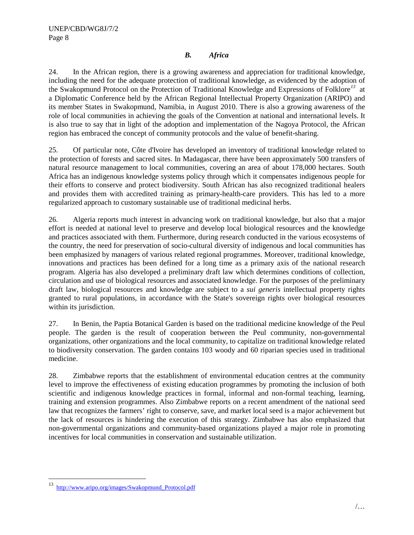# *B. Africa*

24. In the African region, there is a growing awareness and appreciation for traditional knowledge, including the need for the adequate protection of traditional knowledge, as evidenced by the adoption of the Swakopmund Protocol on the Protection of Traditional Knowledge and Expressions of Folklore*[13](#page-7-0)* at a Diplomatic Conference held by the African Regional Intellectual Property Organization (ARIPO) and its member States in Swakopmund, Namibia, in August 2010. There is also a growing awareness of the role of local communities in achieving the goals of the Convention at national and international levels. It is also true to say that in light of the adoption and implementation of the Nagoya Protocol, the African region has embraced the concept of community protocols and the value of benefit-sharing.

25. Of particular note, Côte d'Ivoire has developed an inventory of traditional knowledge related to the protection of forests and sacred sites. In Madagascar, there have been approximately 500 transfers of natural resource management to local communities, covering an area of about 178,000 hectares. South Africa has an indigenous knowledge systems policy through which it compensates indigenous people for their efforts to conserve and protect biodiversity. South African has also recognized traditional healers and provides them with accredited training as primary-health-care providers. This has led to a more regularized approach to customary sustainable use of traditional medicinal herbs.

26. Algeria reports much interest in advancing work on traditional knowledge, but also that a major effort is needed at national level to preserve and develop local biological resources and the knowledge and practices associated with them. Furthermore, during research conducted in the various ecosystems of the country, the need for preservation of socio-cultural diversity of indigenous and local communities has been emphasized by managers of various related regional programmes. Moreover, traditional knowledge, innovations and practices has been defined for a long time as a primary axis of the national research program. Algeria has also developed a preliminary draft law which determines conditions of collection, circulation and use of biological resources and associated knowledge. For the purposes of the preliminary draft law, biological resources and knowledge are subject to a *sui generis* intellectual property rights granted to rural populations, in accordance with the State's sovereign rights over biological resources within its jurisdiction.

27. In Benin, the Paptia Botanical Garden is based on the traditional medicine knowledge of the Peul people. The garden is the result of cooperation between the Peul community, non-governmental organizations, other organizations and the local community, to capitalize on traditional knowledge related to biodiversity conservation. The garden contains 103 woody and 60 riparian species used in traditional medicine.

28. Zimbabwe reports that the establishment of environmental education centres at the community level to improve the effectiveness of existing education programmes by promoting the inclusion of both scientific and indigenous knowledge practices in formal, informal and non-formal teaching, learning, training and extension programmes. Also Zimbabwe reports on a recent amendment of the national seed law that recognizes the farmers' right to conserve, save, and market local seed is a major achievement but the lack of resources is hindering the execution of this strategy. Zimbabwe has also emphasized that non-governmental organizations and community-based organizations played a major role in promoting incentives for local communities in conservation and sustainable utilization.

<span id="page-7-0"></span> <sup>13</sup> http://www.aripo.org/images/Swakopmund\_Protocol.pdf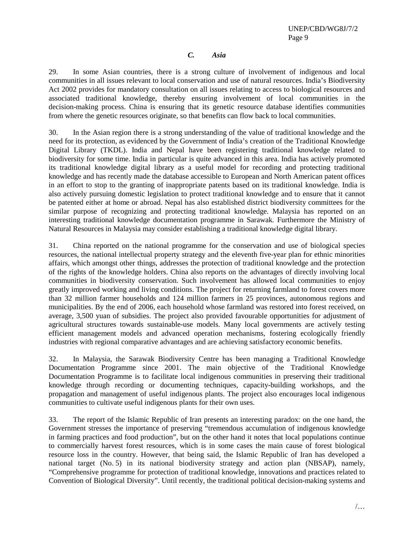## *C. Asia*

29. In some Asian countries, there is a strong culture of involvement of indigenous and local communities in all issues relevant to local conservation and use of natural resources. India's Biodiversity Act 2002 provides for mandatory consultation on all issues relating to access to biological resources and associated traditional knowledge, thereby ensuring involvement of local communities in the decision-making process. China is ensuring that its genetic resource database identifies communities from where the genetic resources originate, so that benefits can flow back to local communities.

30. In the Asian region there is a strong understanding of the value of traditional knowledge and the need for its protection, as evidenced by the Government of India's creation of the Traditional Knowledge Digital Library (TKDL). India and Nepal have been registering traditional knowledge related to biodiversity for some time. India in particular is quite advanced in this area. India has actively promoted its traditional knowledge digital library as a useful model for recording and protecting traditional knowledge and has recently made the database accessible to European and North American patent offices in an effort to stop to the granting of inappropriate patents based on its traditional knowledge. India is also actively pursuing domestic legislation to protect traditional knowledge and to ensure that it cannot be patented either at home or abroad. Nepal has also established district biodiversity committees for the similar purpose of recognizing and protecting traditional knowledge. Malaysia has reported on an interesting traditional knowledge documentation programme in Sarawak. Furthermore the Ministry of Natural Resources in Malaysia may consider establishing a traditional knowledge digital library.

31. China reported on the national programme for the conservation and use of biological species resources, the national intellectual property strategy and the eleventh five-year plan for ethnic minorities affairs, which amongst other things, addresses the protection of traditional knowledge and the protection of the rights of the knowledge holders. China also reports on the advantages of directly involving local communities in biodiversity conservation. Such involvement has allowed local communities to enjoy greatly improved working and living conditions. The project for returning farmland to forest covers more than 32 million farmer households and 124 million farmers in 25 provinces, autonomous regions and municipalities. By the end of 2006, each household whose farmland was restored into forest received, on average, 3,500 yuan of subsidies. The project also provided favourable opportunities for adjustment of agricultural structures towards sustainable-use models. Many local governments are actively testing efficient management models and advanced operation mechanisms, fostering ecologically friendly industries with regional comparative advantages and are achieving satisfactory economic benefits.

32. In Malaysia, the Sarawak Biodiversity Centre has been managing a Traditional Knowledge Documentation Programme since 2001. The main objective of the Traditional Knowledge Documentation Programme is to facilitate local indigenous communities in preserving their traditional knowledge through recording or documenting techniques, capacity-building workshops, and the propagation and management of useful indigenous plants. The project also encourages local indigenous communities to cultivate useful indigenous plants for their own uses.

33. The report of the Islamic Republic of Iran presents an interesting paradox: on the one hand, the Government stresses the importance of preserving "tremendous accumulation of indigenous knowledge in farming practices and food production", but on the other hand it notes that local populations continue to commercially harvest forest resources, which is in some cases the main cause of forest biological resource loss in the country. However, that being said, the Islamic Republic of Iran has developed a national target (No. 5) in its national biodiversity strategy and action plan (NBSAP), namely, "Comprehensive programme for protection of traditional knowledge, innovations and practices related to Convention of Biological Diversity". Until recently, the traditional political decision-making systems and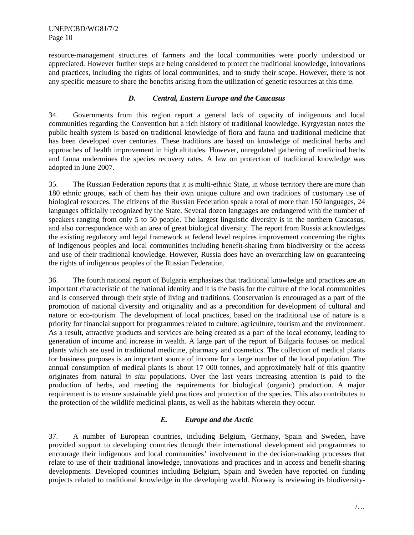resource-management structures of farmers and the local communities were poorly understood or appreciated. However further steps are being considered to protect the traditional knowledge, innovations and practices, including the rights of local communities, and to study their scope. However, there is not any specific measure to share the benefits arising from the utilization of genetic resources at this time.

# *D. Central, Eastern Europe and the Caucasus*

34. Governments from this region report a general lack of capacity of indigenous and local communities regarding the Convention but a rich history of traditional knowledge. Kyrgyzstan notes the public health system is based on traditional knowledge of flora and fauna and traditional medicine that has been developed over centuries. These traditions are based on knowledge of medicinal herbs and approaches of health improvement in high altitudes. However, unregulated gathering of medicinal herbs and fauna undermines the species recovery rates. A law on protection of traditional knowledge was adopted in June 2007.

35. The Russian Federation reports that it is multi-ethnic State, in whose territory there are more than 180 ethnic groups, each of them has their own unique culture and own traditions of customary use of biological resources. The citizens of the Russian Federation speak a total of more than 150 languages, 24 languages officially recognized by the State. Several dozen languages are endangered with the number of speakers ranging from only 5 to 50 people. The largest linguistic diversity is in the northern Caucasus, and also correspondence with an area of great biological diversity. The report from Russia acknowledges the existing regulatory and legal framework at federal level requires improvement concerning the rights of indigenous peoples and local communities including benefit-sharing from biodiversity or the access and use of their traditional knowledge. However, Russia does have an overarching law on guaranteeing the rights of indigenous peoples of the Russian Federation.

36. The fourth national report of Bulgaria emphasizes that traditional knowledge and practices are an important characteristic of the national identity and it is the basis for the culture of the local communities and is conserved through their style of living and traditions. Conservation is encouraged as a part of the promotion of national diversity and originality and as a precondition for development of cultural and nature or eco-tourism. The development of local practices, based on the traditional use of nature is a priority for financial support for programmes related to culture, agriculture, tourism and the environment. As a result, attractive products and services are being created as a part of the local economy, leading to generation of income and increase in wealth. A large part of the report of Bulgaria focuses on medical plants which are used in traditional medicine, pharmacy and cosmetics. The collection of medical plants for business purposes is an important source of income for a large number of the local population. The annual consumption of medical plants is about 17 000 tonnes, and approximately half of this quantity originates from natural *in situ* populations. Over the last years increasing attention is paid to the production of herbs, and meeting the requirements for biological (organic) production. A major requirement is to ensure sustainable yield practices and protection of the species. This also contributes to the protection of the wildlife medicinal plants, as well as the habitats wherein they occur.

### *E. Europe and the Arctic*

37. A number of European countries, including Belgium, Germany, Spain and Sweden, have provided support to developing countries through their international development aid programmes to encourage their indigenous and local communities' involvement in the decision-making processes that relate to use of their traditional knowledge, innovations and practices and in access and benefit-sharing developments. Developed countries including Belgium, Spain and Sweden have reported on funding projects related to traditional knowledge in the developing world. Norway is reviewing its biodiversity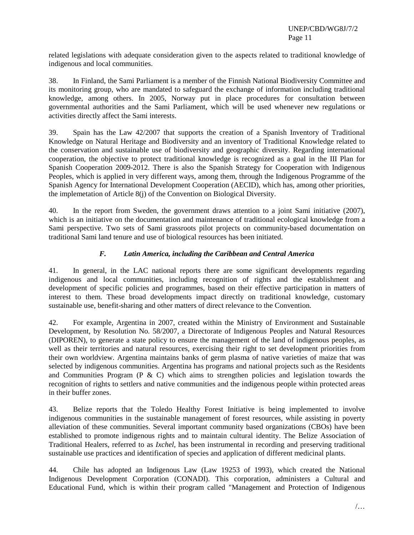related legislations with adequate consideration given to the aspects related to traditional knowledge of indigenous and local communities.

38. In Finland, the Sami Parliament is a member of the Finnish National Biodiversity Committee and its monitoring group, who are mandated to safeguard the exchange of information including traditional knowledge, among others. In 2005, Norway put in place procedures for consultation between governmental authorities and the Sami Parliament, which will be used whenever new regulations or activities directly affect the Sami interests.

39. Spain has the Law 42/2007 that supports the creation of a Spanish Inventory of Traditional Knowledge on Natural Heritage and Biodiversity and an inventory of Traditional Knowledge related to the conservation and sustainable use of biodiversity and geographic diversity. Regarding international cooperation, the objective to protect traditional knowledge is recognized as a goal in the III Plan for Spanish Cooperation 2009-2012. There is also the Spanish Strategy for Cooperation with Indigenous Peoples, which is applied in very different ways, among them, through the Indigenous Programme of the Spanish Agency for International Development Cooperation (AECID), which has, among other priorities, the implemetation of Article 8(j) of the Convention on Biological Diversity.

40. In the report from Sweden, the government draws attention to a joint Sami initiative (2007), which is an initiative on the documentation and maintenance of traditional ecological knowledge from a Sami perspective. Two sets of Sami grassroots pilot projects on community-based documentation on traditional Sami land tenure and use of biological resources has been initiated.

# *F. Latin America, including the Caribbean and Central America*

41. In general, in the LAC national reports there are some significant developments regarding indigenous and local communities, including recognition of rights and the establishment and development of specific policies and programmes, based on their effective participation in matters of interest to them. These broad developments impact directly on traditional knowledge, customary sustainable use, benefit-sharing and other matters of direct relevance to the Convention.

42. For example, Argentina in 2007, created within the Ministry of Environment and Sustainable Development, by Resolution No. 58/2007, a Directorate of Indigenous Peoples and Natural Resources (DIPOREN), to generate a state policy to ensure the management of the land of indigenous peoples, as well as their territories and natural resources, exercising their right to set development priorities from their own worldview. Argentina maintains banks of germ plasma of native varieties of maize that was selected by indigenous communities. Argentina has programs and national projects such as the Residents and Communities Program  $(P \& C)$  which aims to strengthen policies and legislation towards the recognition of rights to settlers and native communities and the indigenous people within protected areas in their buffer zones.

43. Belize reports that the Toledo Healthy Forest Initiative is being implemented to involve indigenous communities in the sustainable management of forest resources, while assisting in poverty alleviation of these communities. Several important community based organizations (CBOs) have been established to promote indigenous rights and to maintain cultural identity. The Belize Association of Traditional Healers, referred to as *Ixchel*, has been instrumental in recording and preserving traditional sustainable use practices and identification of species and application of different medicinal plants.

44. Chile has adopted an Indigenous Law (Law 19253 of 1993), which created the National Indigenous Development Corporation (CONADI). This corporation, administers a Cultural and Educational Fund, which is within their program called "Management and Protection of Indigenous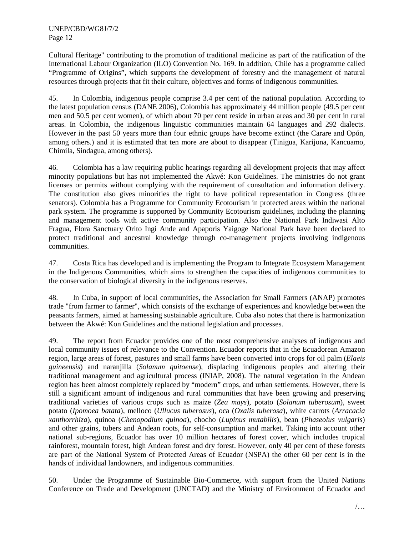Cultural Heritage" contributing to the promotion of traditional medicine as part of the ratification of the International Labour Organization (ILO) Convention No. 169. In addition, Chile has a programme called "Programme of Origins", which supports the development of forestry and the management of natural resources through projects that fit their culture, objectives and forms of indigenous communities.

45. In Colombia, indigenous people comprise 3.4 per cent of the national population. According to the latest population census (DANE 2006), Colombia has approximately 44 million people (49.5 per cent men and 50.5 per cent women), of which about 70 per cent reside in urban areas and 30 per cent in rural areas. In Colombia, the indigenous linguistic communities maintain 64 languages and 292 dialects. However in the past 50 years more than four ethnic groups have become extinct (the Carare and Opón, among others.) and it is estimated that ten more are about to disappear (Tinigua, Karijona, Kancuamo, Chimila, Sindagua, among others).

46. Colombia has a law requiring public hearings regarding all development projects that may affect minority populations but has not implemented the Akwé: Kon Guidelines. The ministries do not grant licenses or permits without complying with the requirement of consultation and information delivery. The constitution also gives minorities the right to have political representation in Congress (three senators). Colombia has a Programme for Community Ecotourism in protected areas within the national park system. The programme is supported by Community Ecotourism guidelines, including the planning and management tools with active community participation. Also the National Park Indiwasi Alto Fragua, Flora Sanctuary Orito Ingi Ande and Apaporis Yaigoge National Park have been declared to protect traditional and ancestral knowledge through co-management projects involving indigenous communities.

47. Costa Rica has developed and is implementing the Program to Integrate Ecosystem Management in the Indigenous Communities, which aims to strengthen the capacities of indigenous communities to the conservation of biological diversity in the indigenous reserves.

48. In Cuba, in support of local communities, the Association for Small Farmers (ANAP) promotes trade "from farmer to farmer", which consists of the exchange of experiences and knowledge between the peasants farmers, aimed at harnessing sustainable agriculture. Cuba also notes that there is harmonization between the Akwé: Kon Guidelines and the national legislation and processes.

49. The report from Ecuador provides one of the most comprehensive analyses of indigenous and local community issues of relevance to the Convention. Ecuador reports that in the Ecuadorean Amazon region, large areas of forest, pastures and small farms have been converted into crops for oil palm (*Elaeis guineensis*) and naranjilla (*Solanum quitoense*), displacing indigenous peoples and altering their traditional management and agricultural process (INIAP, 2008). The natural vegetation in the Andean region has been almost completely replaced by "modern" crops, and urban settlements. However, there is still a significant amount of indigenous and rural communities that have been growing and preserving traditional varieties of various crops such as maize (*Zea mays*), potato (*Solanum tuberosum*), sweet potato (*Ipomoea batata*), melloco (*Ullucus tuberosus*), oca (*Oxalis tuberosa*), white carrots (*Arracacia xanthorrhiza*), quinoa (*Chenopodium quinoa*), chocho (*Lupinus mutabilis*), bean (*Phaseolus vulgaris*) and other grains, tubers and Andean roots, for self-consumption and market. Taking into account other national sub-regions, Ecuador has over 10 million hectares of forest cover, which includes tropical rainforest, mountain forest, high Andean forest and dry forest. However, only 40 per cent of these forests are part of the National System of Protected Areas of Ecuador (NSPA) the other 60 per cent is in the hands of individual landowners, and indigenous communities.

50. Under the Programme of Sustainable Bio-Commerce, with support from the United Nations Conference on Trade and Development (UNCTAD) and the Ministry of Environment of Ecuador and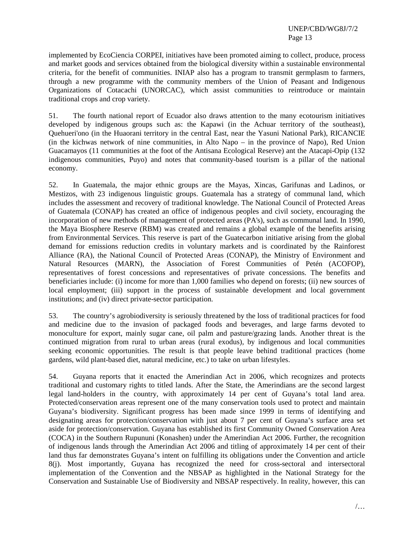implemented by EcoCiencia CORPEI, initiatives have been promoted aiming to collect, produce, process and market goods and services obtained from the biological diversity within a sustainable environmental criteria, for the benefit of communities. INIAP also has a program to transmit germplasm to farmers, through a new programme with the community members of the Union of Peasant and Indigenous Organizations of Cotacachi (UNORCAC), which assist communities to reintroduce or maintain traditional crops and crop variety.

51. The fourth national report of Ecuador also draws attention to the many ecotourism initiatives developed by indigenous groups such as: the Kapawi (in the Achuar territory of the southeast), Quehueri'ono (in the Huaorani territory in the central East, near the Yasuni National Park), RICANCIE (in the kichwas network of nine communities, in Alto Napo – in the province of Napo), Red Union Guacamayos (11 communities at the foot of the Antisana Ecological Reserve) ant the Atacapi-Opip (132 indigenous communities, Puyo) and notes that community-based tourism is a pillar of the national economy.

52. In Guatemala, the major ethnic groups are the Mayas, Xincas, Garifunas and Ladinos, or Mestizos, with 23 indigenous linguistic groups. Guatemala has a strategy of communal land, which includes the assessment and recovery of traditional knowledge. The National Council of Protected Areas of Guatemala (CONAP) has created an office of indigenous peoples and civil society, encouraging the incorporation of new methods of management of protected areas (PA's), such as communal land. In 1990, the Maya Biosphere Reserve (RBM) was created and remains a global example of the benefits arising from Environmental Services. This reserve is part of the Guatecarbon initiative arising from the global demand for emissions reduction credits in voluntary markets and is coordinated by the Rainforest Alliance (RA), the National Council of Protected Areas (CONAP), the Ministry of Environment and Natural Resources (MARN), the Association of Forest Communities of Petén (ACOFOP), representatives of forest concessions and representatives of private concessions. The benefits and beneficiaries include: (i) income for more than 1,000 families who depend on forests; (ii) new sources of local employment; (iii) support in the process of sustainable development and local government institutions; and (iv) direct private-sector participation.

53. The country's agrobiodiversity is seriously threatened by the loss of traditional practices for food and medicine due to the invasion of packaged foods and beverages, and large farms devoted to monoculture for export, mainly sugar cane, oil palm and pasture/grazing lands. Another threat is the continued migration from rural to urban areas (rural exodus), by indigenous and local communities seeking economic opportunities. The result is that people leave behind traditional practices (home gardens, wild plant-based diet, natural medicine, etc.) to take on urban lifestyles.

54. Guyana reports that it enacted the Amerindian Act in 2006, which recognizes and protects traditional and customary rights to titled lands. After the State, the Amerindians are the second largest legal land-holders in the country, with approximately 14 per cent of Guyana's total land area. Protected/conservation areas represent one of the many conservation tools used to protect and maintain Guyana's biodiversity. Significant progress has been made since 1999 in terms of identifying and designating areas for protection/conservation with just about 7 per cent of Guyana's surface area set aside for protection/conservation. Guyana has established its first Community Owned Conservation Area (COCA) in the Southern Rupununi (Konashen) under the Amerindian Act 2006. Further, the recognition of indigenous lands through the Amerindian Act 2006 and titling of approximately 14 per cent of their land thus far demonstrates Guyana's intent on fulfilling its obligations under the Convention and article 8(j). Most importantly, Guyana has recognized the need for cross-sectoral and intersectoral implementation of the Convention and the NBSAP as highlighted in the National Strategy for the Conservation and Sustainable Use of Biodiversity and NBSAP respectively. In reality, however, this can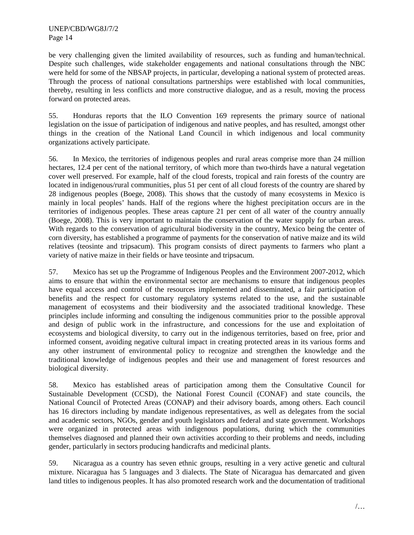be very challenging given the limited availability of resources, such as funding and human/technical. Despite such challenges, wide stakeholder engagements and national consultations through the NBC were held for some of the NBSAP projects, in particular, developing a national system of protected areas. Through the process of national consultations partnerships were established with local communities, thereby, resulting in less conflicts and more constructive dialogue, and as a result, moving the process forward on protected areas.

55. Honduras reports that the ILO Convention 169 represents the primary source of national legislation on the issue of participation of indigenous and native peoples, and has resulted, amongst other things in the creation of the National Land Council in which indigenous and local community organizations actively participate.

56. In Mexico, the territories of indigenous peoples and rural areas comprise more than 24 million hectares, 12.4 per cent of the national territory, of which more than two-thirds have a natural vegetation cover well preserved. For example, half of the cloud forests, tropical and rain forests of the country are located in indigenous/rural communities, plus 51 per cent of all cloud forests of the country are shared by 28 indigenous peoples (Boege, 2008). This shows that the custody of many ecosystems in Mexico is mainly in local peoples' hands. Half of the regions where the highest precipitation occurs are in the territories of indigenous peoples. These areas capture 21 per cent of all water of the country annually (Boege, 2008). This is very important to maintain the conservation of the water supply for urban areas. With regards to the conservation of agricultural biodiversity in the country, Mexico being the center of corn diversity, has established a programme of payments for the conservation of native maize and its wild relatives (teosinte and tripsacum). This program consists of direct payments to farmers who plant a variety of native maize in their fields or have teosinte and tripsacum.

57. Mexico has set up the Programme of Indigenous Peoples and the Environment 2007-2012, which aims to ensure that within the environmental sector are mechanisms to ensure that indigenous peoples have equal access and control of the resources implemented and disseminated, a fair participation of benefits and the respect for customary regulatory systems related to the use, and the sustainable management of ecosystems and their biodiversity and the associated traditional knowledge. These principles include informing and consulting the indigenous communities prior to the possible approval and design of public work in the infrastructure, and concessions for the use and exploitation of ecosystems and biological diversity, to carry out in the indigenous territories, based on free, prior and informed consent, avoiding negative cultural impact in creating protected areas in its various forms and any other instrument of environmental policy to recognize and strengthen the knowledge and the traditional knowledge of indigenous peoples and their use and management of forest resources and biological diversity.

58. Mexico has established areas of participation among them the Consultative Council for Sustainable Development (CCSD), the National Forest Council (CONAF) and state councils, the National Council of Protected Areas (CONAP) and their advisory boards, among others. Each council has 16 directors including by mandate indigenous representatives, as well as delegates from the social and academic sectors, NGOs, gender and youth legislators and federal and state government. Workshops were organized in protected areas with indigenous populations, during which the communities themselves diagnosed and planned their own activities according to their problems and needs, including gender, particularly in sectors producing handicrafts and medicinal plants.

59. Nicaragua as a country has seven ethnic groups, resulting in a very active genetic and cultural mixture. Nicaragua has 5 languages and 3 dialects. The State of Nicaragua has demarcated and given land titles to indigenous peoples. It has also promoted research work and the documentation of traditional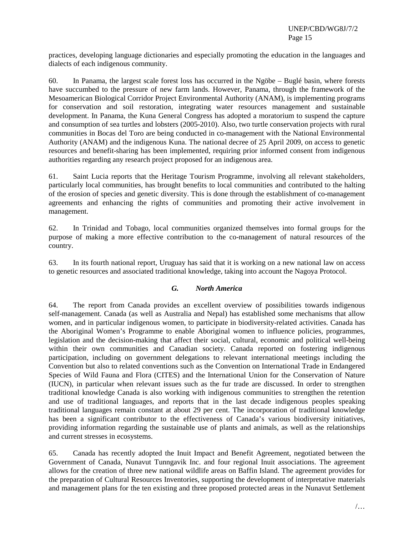practices, developing language dictionaries and especially promoting the education in the languages and dialects of each indigenous community.

60. In Panama, the largest scale forest loss has occurred in the Ngöbe – Buglé basin, where forests have succumbed to the pressure of new farm lands. However, Panama, through the framework of the Mesoamerican Biological Corridor Project Environmental Authority (ANAM), is implementing programs for conservation and soil restoration, integrating water resources management and sustainable development. In Panama, the Kuna General Congress has adopted a moratorium to suspend the capture and consumption of sea turtles and lobsters (2005-2010). Also, two turtle conservation projects with rural communities in Bocas del Toro are being conducted in co-management with the National Environmental Authority (ANAM) and the indigenous Kuna. The national decree of 25 April 2009, on access to genetic resources and benefit-sharing has been implemented, requiring prior informed consent from indigenous authorities regarding any research project proposed for an indigenous area.

61. Saint Lucia reports that the Heritage Tourism Programme, involving all relevant stakeholders, particularly local communities, has brought benefits to local communities and contributed to the halting of the erosion of species and genetic diversity. This is done through the establishment of co-management agreements and enhancing the rights of communities and promoting their active involvement in management.

62. In Trinidad and Tobago, local communities organized themselves into formal groups for the purpose of making a more effective contribution to the co-management of natural resources of the country.

63. In its fourth national report, Uruguay has said that it is working on a new national law on access to genetic resources and associated traditional knowledge, taking into account the Nagoya Protocol.

### *G. North America*

64. The report from Canada provides an excellent overview of possibilities towards indigenous self-management. Canada (as well as Australia and Nepal) has established some mechanisms that allow women, and in particular indigenous women, to participate in biodiversity-related activities. Canada has the Aboriginal Women's Programme to enable Aboriginal women to influence policies, programmes, legislation and the decision-making that affect their social, cultural, economic and political well-being within their own communities and Canadian society. Canada reported on fostering indigenous participation, including on government delegations to relevant international meetings including the Convention but also to related conventions such as the Convention on International Trade in Endangered Species of Wild Fauna and Flora (CITES) and the International Union for the Conservation of Nature (IUCN), in particular when relevant issues such as the fur trade are discussed. In order to strengthen traditional knowledge Canada is also working with indigenous communities to strengthen the retention and use of traditional languages, and reports that in the last decade indigenous peoples speaking traditional languages remain constant at about 29 per cent. The incorporation of traditional knowledge has been a significant contributor to the effectiveness of Canada's various biodiversity initiatives, providing information regarding the sustainable use of plants and animals, as well as the relationships and current stresses in ecosystems.

65. Canada has recently adopted the Inuit Impact and Benefit Agreement, negotiated between the Government of Canada, Nunavut Tunngavik Inc. and four regional Inuit associations. The agreement allows for the creation of three new national wildlife areas on Baffin Island. The agreement provides for the preparation of Cultural Resources Inventories, supporting the development of interpretative materials and management plans for the ten existing and three proposed protected areas in the Nunavut Settlement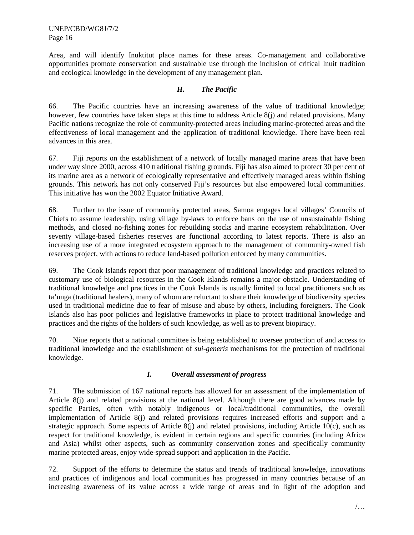Area, and will identify Inuktitut place names for these areas. Co-management and collaborative opportunities promote conservation and sustainable use through the inclusion of critical Inuit tradition and ecological knowledge in the development of any management plan.

# *H. The Pacific*

66. The Pacific countries have an increasing awareness of the value of traditional knowledge; however, few countries have taken steps at this time to address Article 8(j) and related provisions. Many Pacific nations recognize the role of community-protected areas including marine-protected areas and the effectiveness of local management and the application of traditional knowledge. There have been real advances in this area.

67. Fiji reports on the establishment of a network of locally managed marine areas that have been under way since 2000, across 410 traditional fishing grounds. Fiji has also aimed to protect 30 per cent of its marine area as a network of ecologically representative and effectively managed areas within fishing grounds. This network has not only conserved Fiji's resources but also empowered local communities. This initiative has won the 2002 Equator Initiative Award.

68. Further to the issue of community protected areas, Samoa engages local villages' Councils of Chiefs to assume leadership, using village by-laws to enforce bans on the use of unsustainable fishing methods, and closed no-fishing zones for rebuilding stocks and marine ecosystem rehabilitation. Over seventy village-based fisheries reserves are functional according to latest reports. There is also an increasing use of a more integrated ecosystem approach to the management of community-owned fish reserves project, with actions to reduce land-based pollution enforced by many communities.

69. The Cook Islands report that poor management of traditional knowledge and practices related to customary use of biological resources in the Cook Islands remains a major obstacle. Understanding of traditional knowledge and practices in the Cook Islands is usually limited to local practitioners such as ta'unga (traditional healers), many of whom are reluctant to share their knowledge of biodiversity species used in traditional medicine due to fear of misuse and abuse by others, including foreigners. The Cook Islands also has poor policies and legislative frameworks in place to protect traditional knowledge and practices and the rights of the holders of such knowledge, as well as to prevent biopiracy.

70. Niue reports that a national committee is being established to oversee protection of and access to traditional knowledge and the establishment of *sui-generis* mechanisms for the protection of traditional knowledge.

# *I. Overall assessment of progress*

71. The submission of 167 national reports has allowed for an assessment of the implementation of Article 8(j) and related provisions at the national level. Although there are good advances made by specific Parties, often with notably indigenous or local/traditional communities, the overall implementation of Article 8(j) and related provisions requires increased efforts and support and a strategic approach. Some aspects of Article 8(j) and related provisions, including Article 10(c), such as respect for traditional knowledge, is evident in certain regions and specific countries (including Africa and Asia) whilst other aspects, such as community conservation zones and specifically community marine protected areas, enjoy wide-spread support and application in the Pacific.

72. Support of the efforts to determine the status and trends of traditional knowledge, innovations and practices of indigenous and local communities has progressed in many countries because of an increasing awareness of its value across a wide range of areas and in light of the adoption and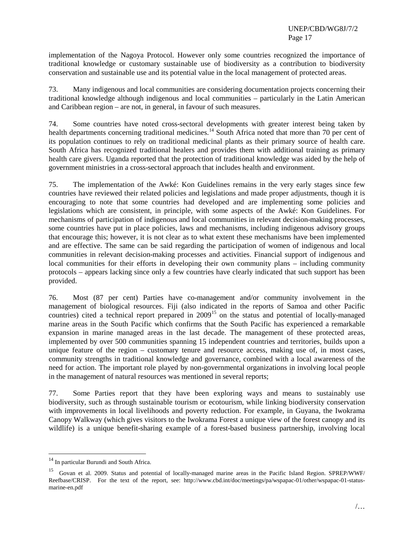implementation of the Nagoya Protocol. However only some countries recognized the importance of traditional knowledge or customary sustainable use of biodiversity as a contribution to biodiversity conservation and sustainable use and its potential value in the local management of protected areas.

73. Many indigenous and local communities are considering documentation projects concerning their traditional knowledge although indigenous and local communities – particularly in the Latin American and Caribbean region – are not, in general, in favour of such measures.

74. Some countries have noted cross-sectoral developments with greater interest being taken by health departments concerning traditional medicines.<sup>[14](#page-16-0)</sup> South Africa noted that more than 70 per cent of its population continues to rely on traditional medicinal plants as their primary source of health care. South Africa has recognized traditional healers and provides them with additional training as primary health care givers. Uganda reported that the protection of traditional knowledge was aided by the help of government ministries in a cross-sectoral approach that includes health and environment.

75. The implementation of the Awké: Kon Guidelines remains in the very early stages since few countries have reviewed their related policies and legislations and made proper adjustments, though it is encouraging to note that some countries had developed and are implementing some policies and legislations which are consistent, in principle, with some aspects of the Awké: Kon Guidelines. For mechanisms of participation of indigenous and local communities in relevant decision-making processes, some countries have put in place policies, laws and mechanisms, including indigenous advisory groups that encourage this; however, it is not clear as to what extent these mechanisms have been implemented and are effective. The same can be said regarding the participation of women of indigenous and local communities in relevant decision-making processes and activities. Financial support of indigenous and local communities for their efforts in developing their own community plans – including community protocols – appears lacking since only a few countries have clearly indicated that such support has been provided.

76. Most (87 per cent) Parties have co-management and/or community involvement in the management of biological resources. Fiji (also indicated in the reports of Samoa and other Pacific countries) cited a technical report prepared in 2009<sup>[15](#page-16-1)</sup> on the status and potential of locally-managed marine areas in the South Pacific which confirms that the South Pacific has experienced a remarkable expansion in marine managed areas in the last decade. The management of these protected areas, implemented by over 500 communities spanning 15 independent countries and territories, builds upon a unique feature of the region – customary tenure and resource access, making use of, in most cases, community strengths in traditional knowledge and governance, combined with a local awareness of the need for action. The important role played by non-governmental organizations in involving local people in the management of natural resources was mentioned in several reports;

77. Some Parties report that they have been exploring ways and means to sustainably use biodiversity, such as through sustainable tourism or ecotourism, while linking biodiversity conservation with improvements in local livelihoods and poverty reduction. For example, in Guyana, the Iwokrama Canopy Walkway (which gives visitors to the Iwokrama Forest a unique view of the forest canopy and its wildlife) is a unique benefit-sharing example of a forest-based business partnership, involving local

<span id="page-16-0"></span><sup>&</sup>lt;sup>14</sup> In particular Burundi and South Africa.

<span id="page-16-1"></span><sup>&</sup>lt;sup>15</sup> Govan et al. 2009. Status and potential of locally-managed marine areas in the Pacific Island Region. SPREP/WWF/ Reefbase/CRISP. For the text of the report, see: http://www.cbd.int/doc/meetings/pa/wspapac-01/other/wspapac-01-statusmarine-en.pdf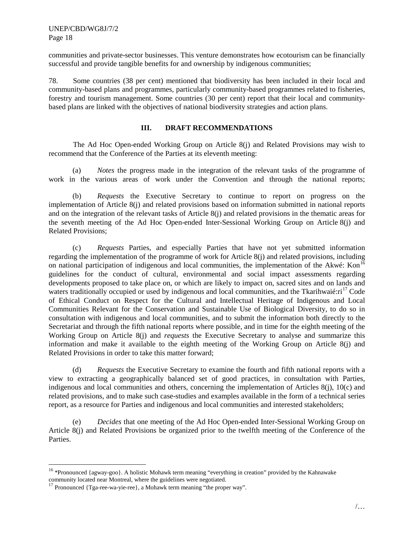communities and private-sector businesses. This venture demonstrates how ecotourism can be financially successful and provide tangible benefits for and ownership by indigenous communities;

78. Some countries (38 per cent) mentioned that biodiversity has been included in their local and community-based plans and programmes, particularly community-based programmes related to fisheries, forestry and tourism management. Some countries (30 per cent) report that their local and communitybased plans are linked with the objectives of national biodiversity strategies and action plans.

### **III. DRAFT RECOMMENDATIONS**

The Ad Hoc Open-ended Working Group on Article 8(j) and Related Provisions may wish to recommend that the Conference of the Parties at its eleventh meeting:

(a) *Notes* the progress made in the integration of the relevant tasks of the programme of work in the various areas of work under the Convention and through the national reports;

(b) *Requests* the Executive Secretary to continue to report on progress on the implementation of Article 8(j) and related provisions based on information submitted in national reports and on the integration of the relevant tasks of Article 8(j) and related provisions in the thematic areas for the seventh meeting of the Ad Hoc Open-ended Inter-Sessional Working Group on Article 8(j) and Related Provisions;

(c) *Requests* Parties, and especially Parties that have not yet submitted information regarding the implementation of the programme of work for Article 8(j) and related provisions, including on national participation of indigenous and local communities, the implementation of the Akwé: Kon<sup>[16](#page-17-0)</sup> guidelines for the conduct of cultural, environmental and social impact assessments regarding developments proposed to take place on, or which are likely to impact on, sacred sites and on lands and waters traditionally occupied or used by indigenous and local communities, and the Tkarihwaié:ri<sup>[17](#page-17-1)</sup> Code of Ethical Conduct on Respect for the Cultural and Intellectual Heritage of Indigenous and Local Communities Relevant for the Conservation and Sustainable Use of Biological Diversity, to do so in consultation with indigenous and local communities, and to submit the information both directly to the Secretariat and through the fifth national reports where possible, and in time for the eighth meeting of the Working Group on Article 8(j) and *requests* the Executive Secretary to analyse and summarize this information and make it available to the eighth meeting of the Working Group on Article 8(j) and Related Provisions in order to take this matter forward;

(d) *Requests* the Executive Secretary to examine the fourth and fifth national reports with a view to extracting a geographically balanced set of good practices, in consultation with Parties, indigenous and local communities and others, concerning the implementation of Articles 8(j), 10(c) and related provisions, and to make such case-studies and examples available in the form of a technical series report, as a resource for Parties and indigenous and local communities and interested stakeholders;

(e) *Decides* that one meeting of the Ad Hoc Open-ended Inter-Sessional Working Group on Article 8(j) and Related Provisions be organized prior to the twelfth meeting of the Conference of the Parties.

<span id="page-17-0"></span><sup>&</sup>lt;sup>16</sup> \*Pronounced {agway-goo}. A holistic Mohawk term meaning "everything in creation" provided by the Kahnawake community located near Montreal, where the guidelines were negotiated.

<span id="page-17-1"></span><sup>&</sup>lt;sup>17</sup> Pronounced {Tga-ree-wa-yie-ree}, a Mohawk term meaning "the proper way".